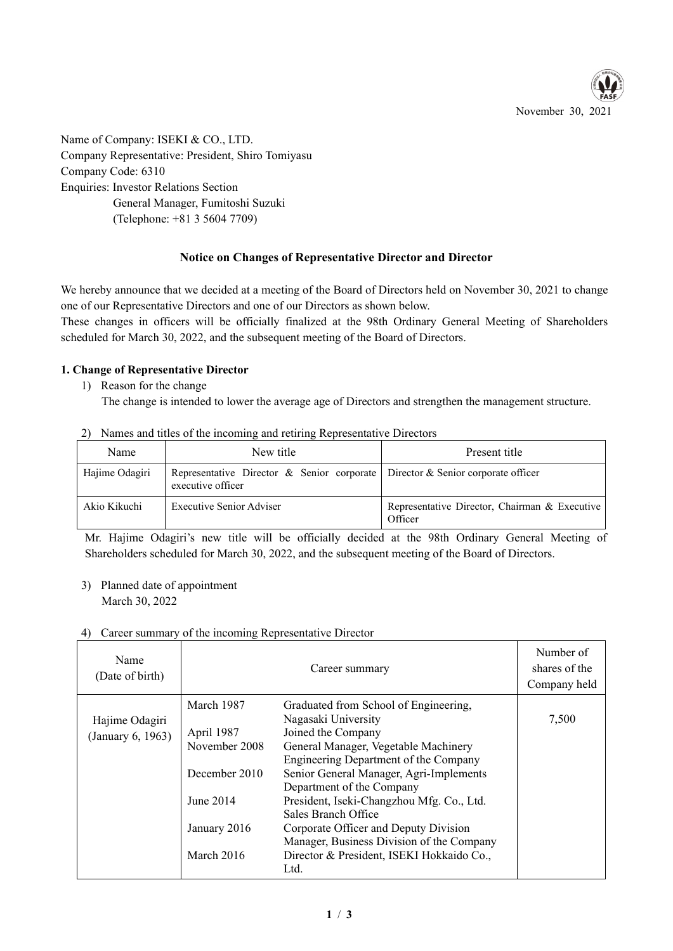

Name of Company: ISEKI & CO., LTD. Company Representative: President, Shiro Tomiyasu Company Code: 6310 Enquiries: Investor Relations Section General Manager, Fumitoshi Suzuki (Telephone: +81 3 5604 7709)

# **Notice on Changes of Representative Director and Director**

We hereby announce that we decided at a meeting of the Board of Directors held on November 30, 2021 to change one of our Representative Directors and one of our Directors as shown below.

These changes in officers will be officially finalized at the 98th Ordinary General Meeting of Shareholders scheduled for March 30, 2022, and the subsequent meeting of the Board of Directors.

### **1. Change of Representative Director**

- 1) Reason for the change The change is intended to lower the average age of Directors and strengthen the management structure.
- 2) Names and titles of the incoming and retiring Representative Directors

| Name           | New title                                                                                           | Present title                                            |
|----------------|-----------------------------------------------------------------------------------------------------|----------------------------------------------------------|
| Hajime Odagiri | Representative Director & Senior corporate Director & Senior corporate officer<br>executive officer |                                                          |
| Akio Kikuchi   | Executive Senior Adviser                                                                            | Representative Director, Chairman & Executive<br>Officer |

Mr. Hajime Odagiri's new title will be officially decided at the 98th Ordinary General Meeting of Shareholders scheduled for March 30, 2022, and the subsequent meeting of the Board of Directors.

3) Planned date of appointment March 30, 2022

### 4) Career summary of the incoming Representative Director

| Name<br>(Date of birth)             | Career summary                            |                                                                                                                                                                                                             | Number of<br>shares of the<br>Company held |
|-------------------------------------|-------------------------------------------|-------------------------------------------------------------------------------------------------------------------------------------------------------------------------------------------------------------|--------------------------------------------|
| Hajime Odagiri<br>(January 6, 1963) | March 1987<br>April 1987<br>November 2008 | Graduated from School of Engineering,<br>Nagasaki University<br>Joined the Company<br>General Manager, Vegetable Machinery<br>Engineering Department of the Company                                         | 7,500                                      |
|                                     | December 2010                             | Senior General Manager, Agri-Implements<br>Department of the Company                                                                                                                                        |                                            |
|                                     | June 2014<br>January 2016<br>March $2016$ | President, Iseki-Changzhou Mfg. Co., Ltd.<br>Sales Branch Office<br>Corporate Officer and Deputy Division<br>Manager, Business Division of the Company<br>Director & President, ISEKI Hokkaido Co.,<br>Ltd. |                                            |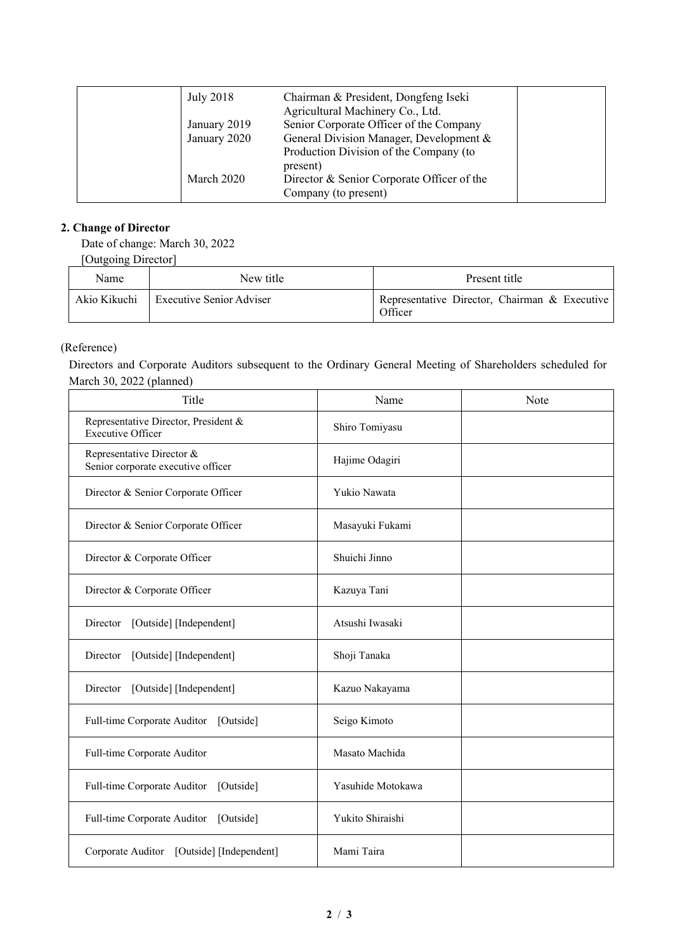| July 2018    | Chairman & President, Dongfeng Iseki<br>Agricultural Machinery Co., Ltd. |  |
|--------------|--------------------------------------------------------------------------|--|
| January 2019 | Senior Corporate Officer of the Company                                  |  |
| January 2020 | General Division Manager, Development &                                  |  |
|              | Production Division of the Company (to                                   |  |
|              | present)                                                                 |  |
| March 2020   | Director & Senior Corporate Officer of the                               |  |
|              | Company (to present)                                                     |  |

# **2. Change of Director**

Date of change: March 30, 2022

[Outgoing Director]

| Name         | New title                | Present title                                            |  |
|--------------|--------------------------|----------------------------------------------------------|--|
| Akio Kikuchi | Executive Senior Adviser | Representative Director, Chairman & Executive<br>Officer |  |

# (Reference)

Directors and Corporate Auditors subsequent to the Ordinary General Meeting of Shareholders scheduled for March 30, 2022 (planned)

| Title                                                            | Name              | Note |
|------------------------------------------------------------------|-------------------|------|
| Representative Director, President &<br><b>Executive Officer</b> | Shiro Tomiyasu    |      |
| Representative Director &<br>Senior corporate executive officer  | Hajime Odagiri    |      |
| Director & Senior Corporate Officer                              | Yukio Nawata      |      |
| Director & Senior Corporate Officer                              | Masayuki Fukami   |      |
| Director & Corporate Officer                                     | Shuichi Jinno     |      |
| Director & Corporate Officer                                     | Kazuya Tani       |      |
| Director<br>[Outside] [Independent]                              | Atsushi Iwasaki   |      |
| [Outside] [Independent]<br>Director                              | Shoji Tanaka      |      |
| Director<br>[Outside] [Independent]                              | Kazuo Nakayama    |      |
| Full-time Corporate Auditor [Outside]                            | Seigo Kimoto      |      |
| Full-time Corporate Auditor                                      | Masato Machida    |      |
| Full-time Corporate Auditor [Outside]                            | Yasuhide Motokawa |      |
| Full-time Corporate Auditor [Outside]                            | Yukito Shiraishi  |      |
| Corporate Auditor [Outside] [Independent]                        | Mami Taira        |      |